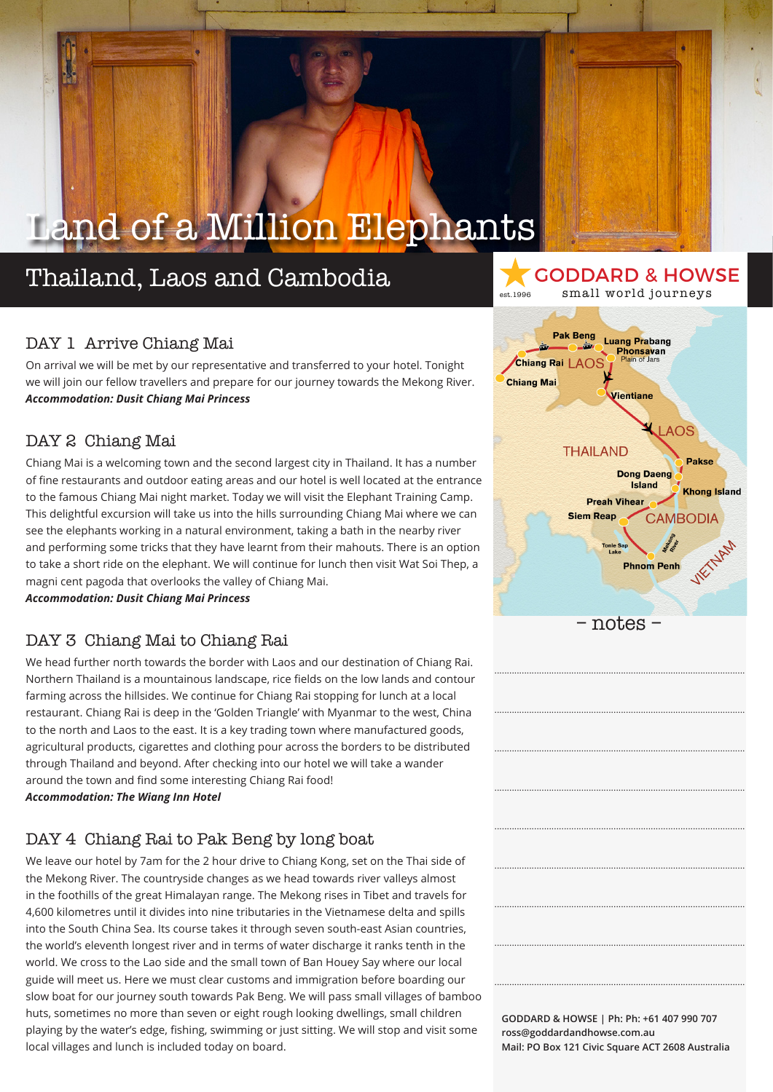### Thailand, Laos and Cambodia

### DAY 1 Arrive Chiang Mai

On arrival we will be met by our representative and transferred to your hotel. Tonight we will join our fellow travellers and prepare for our journey towards the Mekong River. *Accommodation: Dusit Chiang Mai Princess*

### DAY 2 Chiang Mai

Chiang Mai is a welcoming town and the second largest city in Thailand. It has a number of fine restaurants and outdoor eating areas and our hotel is well located at the entrance to the famous Chiang Mai night market. Today we will visit the Elephant Training Camp. This delightful excursion will take us into the hills surrounding Chiang Mai where we can see the elephants working in a natural environment, taking a bath in the nearby river and performing some tricks that they have learnt from their mahouts. There is an option to take a short ride on the elephant. We will continue for lunch then visit Wat Soi Thep, a magni cent pagoda that overlooks the valley of Chiang Mai.

*Accommodation: Dusit Chiang Mai Princess*

#### DAY 3 Chiang Mai to Chiang Rai

We head further north towards the border with Laos and our destination of Chiang Rai. Northern Thailand is a mountainous landscape, rice fields on the low lands and contour farming across the hillsides. We continue for Chiang Rai stopping for lunch at a local restaurant. Chiang Rai is deep in the 'Golden Triangle' with Myanmar to the west, China to the north and Laos to the east. It is a key trading town where manufactured goods, agricultural products, cigarettes and clothing pour across the borders to be distributed through Thailand and beyond. After checking into our hotel we will take a wander around the town and find some interesting Chiang Rai food! *Accommodation: The Wiang Inn Hotel*

### DAY 4 Chiang Rai to Pak Beng by long boat

We leave our hotel by 7am for the 2 hour drive to Chiang Kong, set on the Thai side of the Mekong River. The countryside changes as we head towards river valleys almost in the foothills of the great Himalayan range. The Mekong rises in Tibet and travels for 4,600 kilometres until it divides into nine tributaries in the Vietnamese delta and spills into the South China Sea. Its course takes it through seven south-east Asian countries, the world's eleventh longest river and in terms of water discharge it ranks tenth in the world. We cross to the Lao side and the small town of Ban Houey Say where our local guide will meet us. Here we must clear customs and immigration before boarding our slow boat for our journey south towards Pak Beng. We will pass small villages of bamboo huts, sometimes no more than seven or eight rough looking dwellings, small children playing by the water's edge, fishing, swimming or just sitting. We will stop and visit some local villages and lunch is included today on board.



.....................................................................................................

.....................................................................................................

.....................................................................................................

.....................................................................................................

.....................................................................................................

.....................................................................................................

.....................................................................................................

.....................................................................................................

.....................................................................................................

GODDARD & HOWSE

est.1996 small world journeys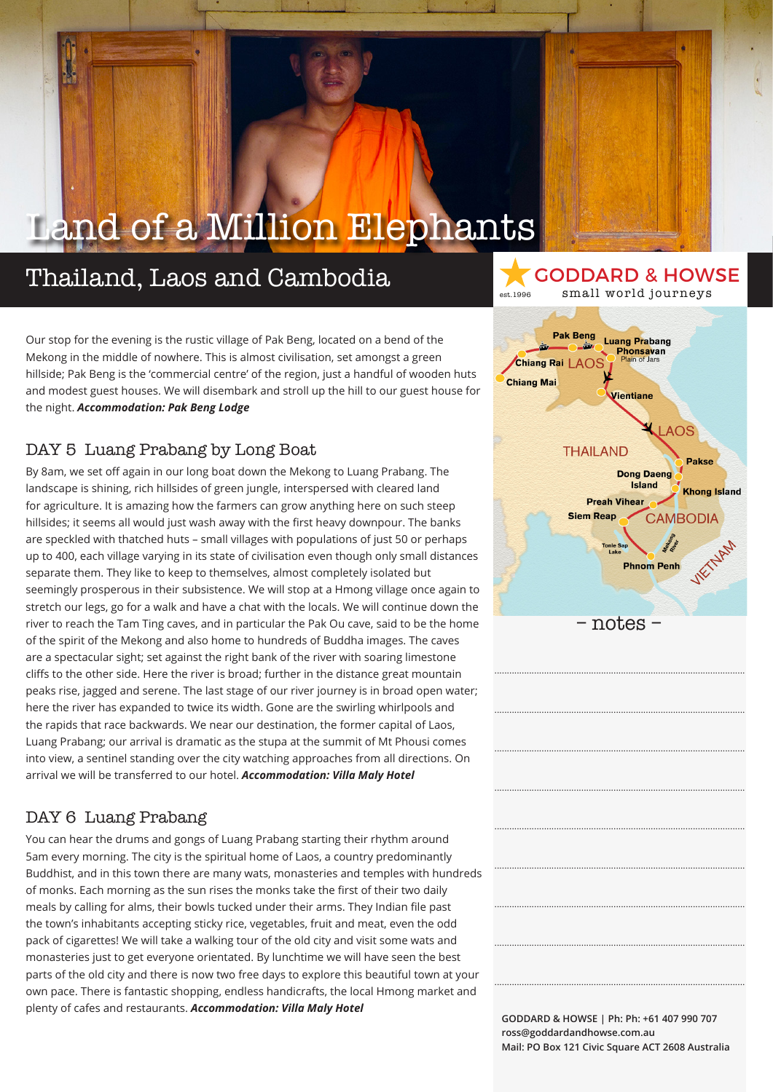### Thailand, Laos and Cambodia

est.1996 small world journeys **Pak Beng Luang Prabang Phonsavan**<br>Plain of Jars Chiang Rai LAOS **Chiang Mai** *l*ientiane  $AOS$ **THAILAND Pakse Dong Daeng Island Khong Island Preah Vihea Siem Reap CAMBODIA** 

– notes –

**Phnom Penh** 

.....................................................................................................

.....................................................................................................

.....................................................................................................

.....................................................................................................

.....................................................................................................

.....................................................................................................

.....................................................................................................

.....................................................................................................

.....................................................................................................

GODDARD & HOWSE

Our stop for the evening is the rustic village of Pak Beng, located on a bend of the Mekong in the middle of nowhere. This is almost civilisation, set amongst a green hillside; Pak Beng is the 'commercial centre' of the region, just a handful of wooden huts and modest guest houses. We will disembark and stroll up the hill to our guest house for the night. *Accommodation: Pak Beng Lodge*

### DAY 5 Luang Prabang by Long Boat

By 8am, we set off again in our long boat down the Mekong to Luang Prabang. The landscape is shining, rich hillsides of green jungle, interspersed with cleared land for agriculture. It is amazing how the farmers can grow anything here on such steep hillsides; it seems all would just wash away with the first heavy downpour. The banks are speckled with thatched huts – small villages with populations of just 50 or perhaps up to 400, each village varying in its state of civilisation even though only small distances separate them. They like to keep to themselves, almost completely isolated but seemingly prosperous in their subsistence. We will stop at a Hmong village once again to stretch our legs, go for a walk and have a chat with the locals. We will continue down the river to reach the Tam Ting caves, and in particular the Pak Ou cave, said to be the home of the spirit of the Mekong and also home to hundreds of Buddha images. The caves are a spectacular sight; set against the right bank of the river with soaring limestone cliffs to the other side. Here the river is broad; further in the distance great mountain peaks rise, jagged and serene. The last stage of our river journey is in broad open water; here the river has expanded to twice its width. Gone are the swirling whirlpools and the rapids that race backwards. We near our destination, the former capital of Laos, Luang Prabang; our arrival is dramatic as the stupa at the summit of Mt Phousi comes into view, a sentinel standing over the city watching approaches from all directions. On arrival we will be transferred to our hotel. *Accommodation: Villa Maly Hotel*

### DAY 6 Luang Prabang

You can hear the drums and gongs of Luang Prabang starting their rhythm around 5am every morning. The city is the spiritual home of Laos, a country predominantly Buddhist, and in this town there are many wats, monasteries and temples with hundreds of monks. Each morning as the sun rises the monks take the first of their two daily meals by calling for alms, their bowls tucked under their arms. They Indian file past the town's inhabitants accepting sticky rice, vegetables, fruit and meat, even the odd pack of cigarettes! We will take a walking tour of the old city and visit some wats and monasteries just to get everyone orientated. By lunchtime we will have seen the best parts of the old city and there is now two free days to explore this beautiful town at your own pace. There is fantastic shopping, endless handicrafts, the local Hmong market and plenty of cafes and restaurants. *Accommodation: Villa Maly Hotel*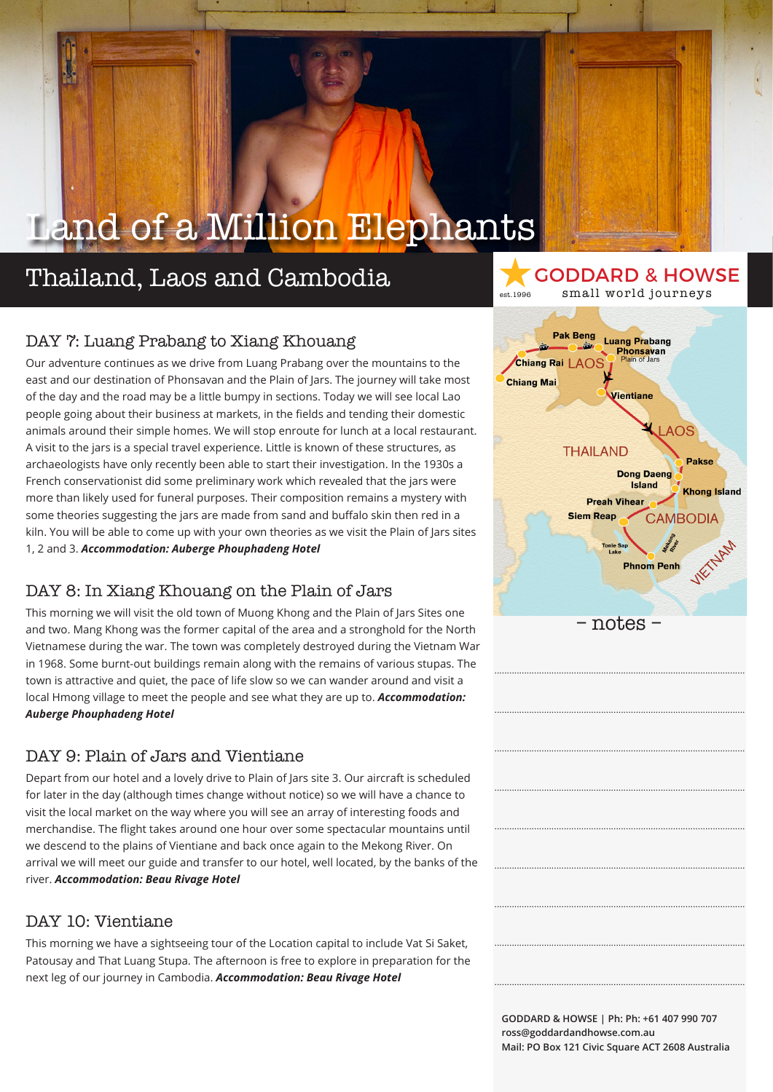### Thailand, Laos and Cambodia

#### GODDARD & HOWSE est.1996 small world journeys

### DAY 7: Luang Prabang to Xiang Khouang

Our adventure continues as we drive from Luang Prabang over the mountains to the east and our destination of Phonsavan and the Plain of Jars. The journey will take most of the day and the road may be a little bumpy in sections. Today we will see local Lao people going about their business at markets, in the fields and tending their domestic animals around their simple homes. We will stop enroute for lunch at a local restaurant. A visit to the jars is a special travel experience. Little is known of these structures, as archaeologists have only recently been able to start their investigation. In the 1930s a French conservationist did some preliminary work which revealed that the jars were more than likely used for funeral purposes. Their composition remains a mystery with some theories suggesting the jars are made from sand and buffalo skin then red in a kiln. You will be able to come up with your own theories as we visit the Plain of Jars sites 1, 2 and 3. *Accommodation: Auberge Phouphadeng Hotel*

### DAY 8: In Xiang Khouang on the Plain of Jars

This morning we will visit the old town of Muong Khong and the Plain of Jars Sites one and two. Mang Khong was the former capital of the area and a stronghold for the North Vietnamese during the war. The town was completely destroyed during the Vietnam War in 1968. Some burnt-out buildings remain along with the remains of various stupas. The town is attractive and quiet, the pace of life slow so we can wander around and visit a local Hmong village to meet the people and see what they are up to. *Accommodation: Auberge Phouphadeng Hotel* 

#### DAY 9: Plain of Jars and Vientiane

Depart from our hotel and a lovely drive to Plain of Jars site 3. Our aircraft is scheduled for later in the day (although times change without notice) so we will have a chance to visit the local market on the way where you will see an array of interesting foods and merchandise. The flight takes around one hour over some spectacular mountains until we descend to the plains of Vientiane and back once again to the Mekong River. On arrival we will meet our guide and transfer to our hotel, well located, by the banks of the river. *Accommodation: Beau Rivage Hotel*

### DAY 10: Vientiane

This morning we have a sightseeing tour of the Location capital to include Vat Si Saket, Patousay and That Luang Stupa. The afternoon is free to explore in preparation for the next leg of our journey in Cambodia. *Accommodation: Beau Rivage Hotel* 



.....................................................................................................

.....................................................................................................

.....................................................................................................

.....................................................................................................

.....................................................................................................

.....................................................................................................

.....................................................................................................

.....................................................................................................

.....................................................................................................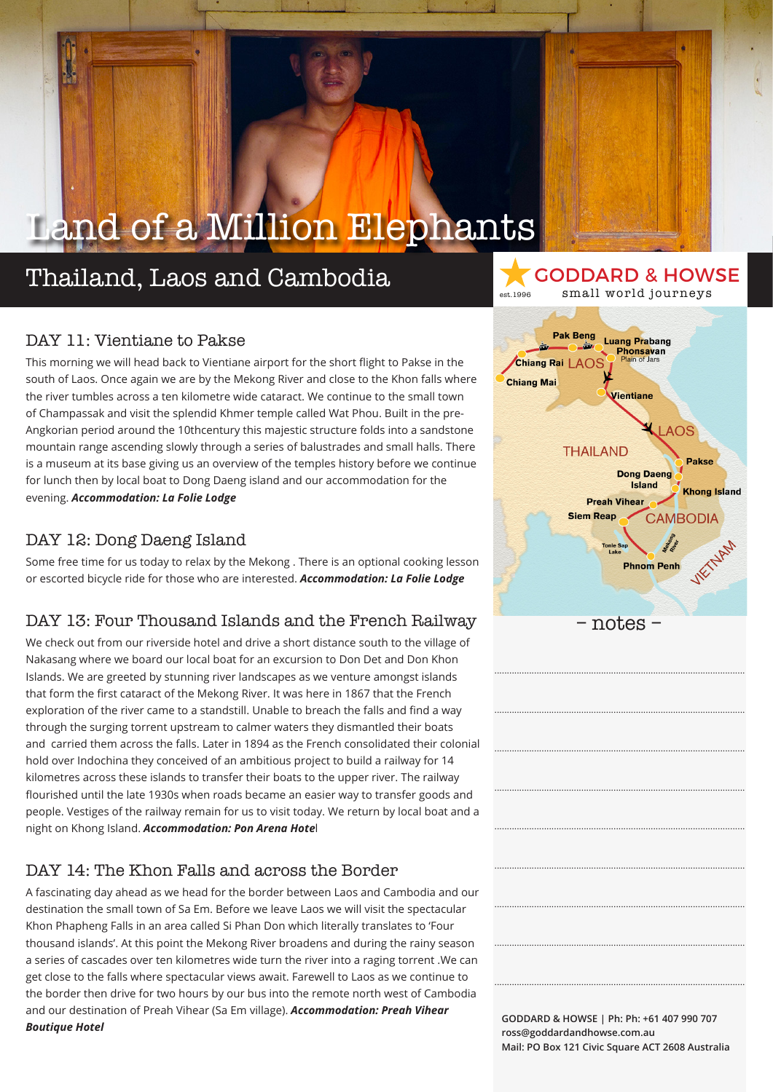### Thailand, Laos and Cambodia

### DAY 11: Vientiane to Pakse

This morning we will head back to Vientiane airport for the short flight to Pakse in the south of Laos. Once again we are by the Mekong River and close to the Khon falls where the river tumbles across a ten kilometre wide cataract. We continue to the small town of Champassak and visit the splendid Khmer temple called Wat Phou. Built in the pre-Angkorian period around the 10thcentury this majestic structure folds into a sandstone mountain range ascending slowly through a series of balustrades and small halls. There is a museum at its base giving us an overview of the temples history before we continue for lunch then by local boat to Dong Daeng island and our accommodation for the evening. *Accommodation: La Folie Lodge* 

### DAY 12: Dong Daeng Island

Some free time for us today to relax by the Mekong . There is an optional cooking lesson or escorted bicycle ride for those who are interested. *Accommodation: La Folie Lodge*

### DAY 13: Four Thousand Islands and the French Railway

We check out from our riverside hotel and drive a short distance south to the village of Nakasang where we board our local boat for an excursion to Don Det and Don Khon Islands. We are greeted by stunning river landscapes as we venture amongst islands that form the first cataract of the Mekong River. It was here in 1867 that the French exploration of the river came to a standstill. Unable to breach the falls and find a way through the surging torrent upstream to calmer waters they dismantled their boats and carried them across the falls. Later in 1894 as the French consolidated their colonial hold over Indochina they conceived of an ambitious project to build a railway for 14 kilometres across these islands to transfer their boats to the upper river. The railway flourished until the late 1930s when roads became an easier way to transfer goods and people. Vestiges of the railway remain for us to visit today. We return by local boat and a night on Khong Island. *Accommodation: Pon Arena Hote*l

### DAY 14: The Khon Falls and across the Border

A fascinating day ahead as we head for the border between Laos and Cambodia and our destination the small town of Sa Em. Before we leave Laos we will visit the spectacular Khon Phapheng Falls in an area called Si Phan Don which literally translates to 'Four thousand islands'. At this point the Mekong River broadens and during the rainy season a series of cascades over ten kilometres wide turn the river into a raging torrent .We can get close to the falls where spectacular views await. Farewell to Laos as we continue to the border then drive for two hours by our bus into the remote north west of Cambodia and our destination of Preah Vihear (Sa Em village). *Accommodation: Preah Vihear Boutique Hotel*



.....................................................................................................

.....................................................................................................

.....................................................................................................

.....................................................................................................

.....................................................................................................

.....................................................................................................

.....................................................................................................

.....................................................................................................

.....................................................................................................

GODDARD & HOWSE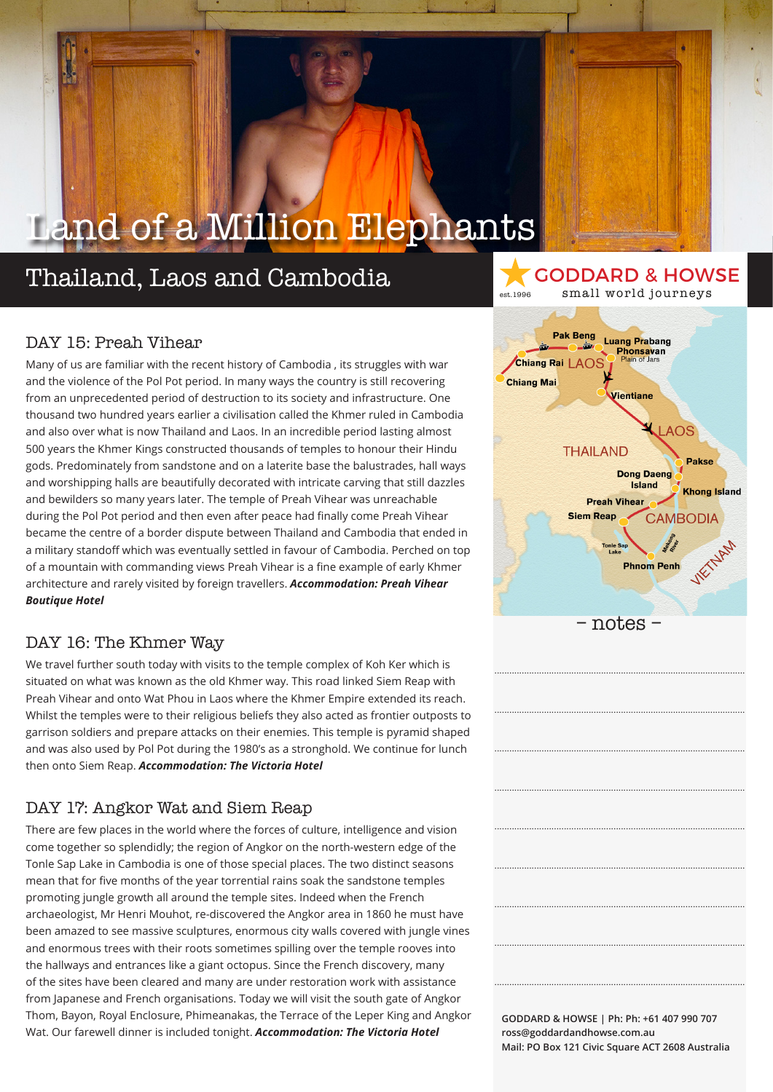### Thailand, Laos and Cambodia

### DAY 15: Preah Vihear

Many of us are familiar with the recent history of Cambodia , its struggles with war and the violence of the Pol Pot period. In many ways the country is still recovering from an unprecedented period of destruction to its society and infrastructure. One thousand two hundred years earlier a civilisation called the Khmer ruled in Cambodia and also over what is now Thailand and Laos. In an incredible period lasting almost 500 years the Khmer Kings constructed thousands of temples to honour their Hindu gods. Predominately from sandstone and on a laterite base the balustrades, hall ways and worshipping halls are beautifully decorated with intricate carving that still dazzles and bewilders so many years later. The temple of Preah Vihear was unreachable during the Pol Pot period and then even after peace had finally come Preah Vihear became the centre of a border dispute between Thailand and Cambodia that ended in a military standoff which was eventually settled in favour of Cambodia. Perched on top of a mountain with commanding views Preah Vihear is a fine example of early Khmer architecture and rarely visited by foreign travellers. *Accommodation: Preah Vihear Boutique Hotel*

#### DAY 16: The Khmer Way

We travel further south today with visits to the temple complex of Koh Ker which is situated on what was known as the old Khmer way. This road linked Siem Reap with Preah Vihear and onto Wat Phou in Laos where the Khmer Empire extended its reach. Whilst the temples were to their religious beliefs they also acted as frontier outposts to garrison soldiers and prepare attacks on their enemies. This temple is pyramid shaped and was also used by Pol Pot during the 1980's as a stronghold. We continue for lunch then onto Siem Reap. *Accommodation: The Victoria Hotel*

### DAY 17: Angkor Wat and Siem Reap

There are few places in the world where the forces of culture, intelligence and vision come together so splendidly; the region of Angkor on the north-western edge of the Tonle Sap Lake in Cambodia is one of those special places. The two distinct seasons mean that for five months of the year torrential rains soak the sandstone temples promoting jungle growth all around the temple sites. Indeed when the French archaeologist, Mr Henri Mouhot, re-discovered the Angkor area in 1860 he must have been amazed to see massive sculptures, enormous city walls covered with jungle vines and enormous trees with their roots sometimes spilling over the temple rooves into the hallways and entrances like a giant octopus. Since the French discovery, many of the sites have been cleared and many are under restoration work with assistance from Japanese and French organisations. Today we will visit the south gate of Angkor Thom, Bayon, Royal Enclosure, Phimeanakas, the Terrace of the Leper King and Angkor Wat. Our farewell dinner is included tonight. *Accommodation: The Victoria Hotel*



.....................................................................................................

.....................................................................................................

.....................................................................................................

.....................................................................................................

.....................................................................................................

.....................................................................................................

.....................................................................................................

.....................................................................................................

.....................................................................................................

GODDARD & HOWSE